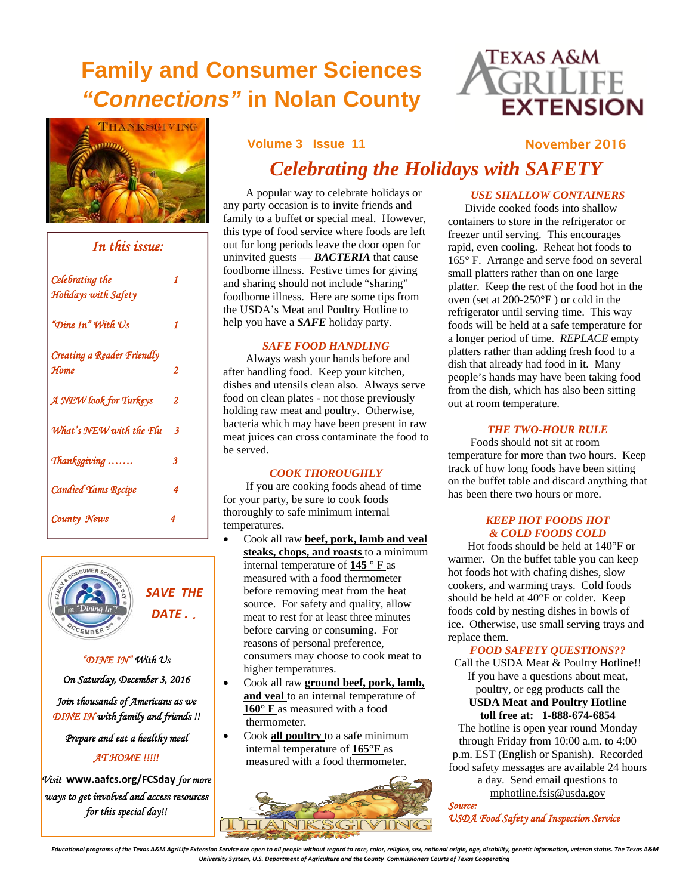### **Family and Consumer Sciences**  *"Connections"* **in Nolan County**





| In this issue:                          |   |  |
|-----------------------------------------|---|--|
| Celebrating the<br>Holidays with Safety | 1 |  |
| "Dine In" With Us                       | 1 |  |
| Creating a Reader Friendly<br>Home      | 2 |  |
| A NEW look for Turkeys                  | 2 |  |
| What's NEW with the Flu                 | 3 |  |
| Thanksgiving                            | 3 |  |
| <b>Candied Yams Recipe</b>              | 4 |  |
| County News                             | 4 |  |



### *"DINE IN" With Us*

*On Saturday, December 3, 2016* 

*Join thousands of Americans as we DINE IN with family and friends !!* 

*Prepare and eat a healthy meal AT HOME !!!!!* 

*Visit* **www.aafcs.org/FCSday** *for more ways to get involved and access resources for this special day!!*

### **Volume 3 Issue 11 19 Issue 11 19 Issue 11 Issue 11 Issue 10 Issue 11 Issue 12016**

### *Celebrating the Holidays with SAFETY*

 A popular way to celebrate holidays or any party occasion is to invite friends and family to a buffet or special meal. However, this type of food service where foods are left out for long periods leave the door open for uninvited guests — *BACTERIA* that cause foodborne illness. Festive times for giving and sharing should not include "sharing" foodborne illness. Here are some tips from the USDA's Meat and Poultry Hotline to help you have a *SAFE* holiday party.

### *SAFE FOOD HANDLING*

 Always wash your hands before and after handling food. Keep your kitchen, dishes and utensils clean also. Always serve food on clean plates - not those previously holding raw meat and poultry. Otherwise, bacteria which may have been present in raw meat juices can cross contaminate the food to be served.

### *COOK THOROUGHLY*

 If you are cooking foods ahead of time for your party, be sure to cook foods thoroughly to safe minimum internal temperatures.

- Cook all raw **beef, pork, lamb and veal steaks, chops, and roasts** to a minimum internal temperature of **145 °** F as measured with a food thermometer before removing meat from the heat source. For safety and quality, allow meat to rest for at least three minutes before carving or consuming. For reasons of personal preference, consumers may choose to cook meat to higher temperatures.
- Cook all raw **ground beef, pork, lamb, and veal** to an internal temperature of **160° F** as measured with a food thermometer.
- Cook **all poultry** to a safe minimum internal temperature of **165°F** as measured with a food thermometer.



### *USE SHALLOW CONTAINERS*

 Divide cooked foods into shallow containers to store in the refrigerator or freezer until serving. This encourages rapid, even cooling. Reheat hot foods to 165° F. Arrange and serve food on several small platters rather than on one large platter. Keep the rest of the food hot in the oven (set at 200-250°F ) or cold in the refrigerator until serving time. This way foods will be held at a safe temperature for a longer period of time. *REPLACE* empty platters rather than adding fresh food to a dish that already had food in it. Many people's hands may have been taking food from the dish, which has also been sitting out at room temperature.

### *THE TWO-HOUR RULE*

 Foods should not sit at room temperature for more than two hours. Keep track of how long foods have been sitting on the buffet table and discard anything that has been there two hours or more.

### *KEEP HOT FOODS HOT & COLD FOODS COLD*

 Hot foods should be held at 140°F or warmer. On the buffet table you can keep hot foods hot with chafing dishes, slow cookers, and warming trays. Cold foods should be held at 40°F or colder. Keep foods cold by nesting dishes in bowls of ice. Otherwise, use small serving trays and replace them.

### *FOOD SAFETY QUESTIONS??*

Call the USDA Meat & Poultry Hotline!! If you have a questions about meat, poultry, or egg products call the **USDA Meat and Poultry Hotline toll free at: 1-888-674-6854** 

The hotline is open year round Monday through Friday from 10:00 a.m. to 4:00 p.m. EST (English or Spanish). Recorded food safety messages are available 24 hours a day. Send email questions to mphotline.fsis@usda.gov

*Source: USDA Food Safety and Inspection Service* 

Educational programs of the Texas A&M AgriLife Extension Service are open to all people without regard to race, color, religion, sex, national origin, age, disability, genetic information, veteran status. The Texas A&M University System, U.S. Department of Agriculture and the County Commissioners Courts of Texas Cooperating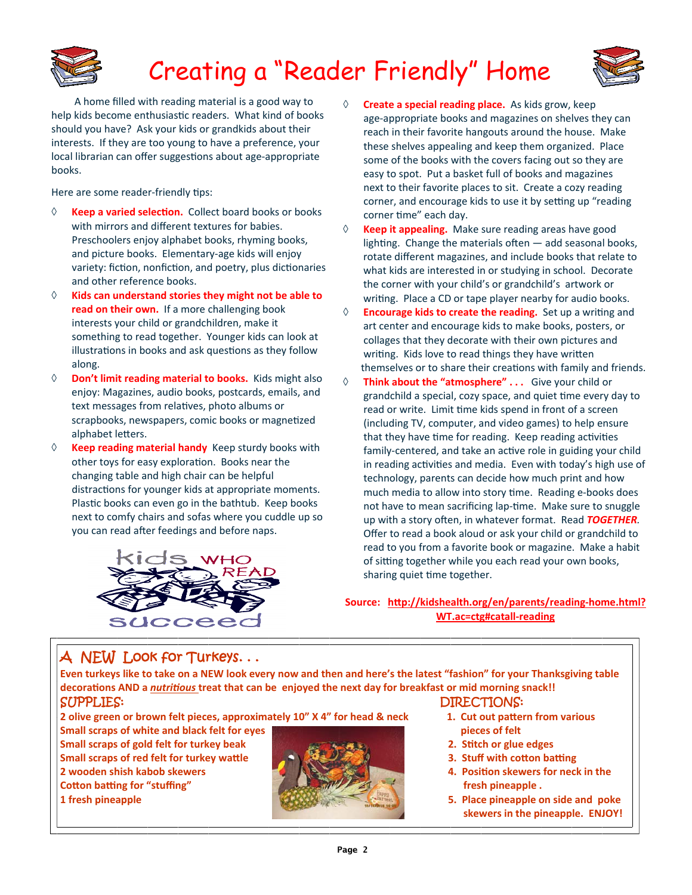

# Creating a "Reader Friendly" Home



 A home filled with reading material is a good way to help kids become enthusiastic readers. What kind of books should you have? Ask your kids or grandkids about their interests. If they are too young to have a preference, your local librarian can offer suggestions about age-appropriate books.

Here are some reader-friendly tips:

- $\Diamond$  **Keep a varied selection.** Collect board books or books with mirrors and different textures for babies. Preschoolers enjoy alphabet books, rhyming books, and picture books. Elementary‐age kids will enjoy variety: fiction, nonfiction, and poetry, plus dictionaries and other reference books.
- **Kids can understand stories they might not be able to read on their own.** If a more challenging book interests your child or grandchildren, make it something to read together. Younger kids can look at illustrations in books and ask questions as they follow along.
- **Don't limit reading material to books.** Kids might also enjoy: Magazines, audio books, postcards, emails, and text messages from relatives, photo albums or scrapbooks, newspapers, comic books or magnetized alphabet letters.
- **Keep reading material handy** Keep sturdy books with other toys for easy exploration. Books near the changing table and high chair can be helpful distractions for younger kids at appropriate moments. Plastic books can even go in the bathtub. Keep books next to comfy chairs and sofas where you cuddle up so you can read after feedings and before naps.



- **Create a special reading place.** As kids grow, keep age‐appropriate books and magazines on shelves they can reach in their favorite hangouts around the house. Make these shelves appealing and keep them organized. Place some of the books with the covers facing out so they are easy to spot. Put a basket full of books and magazines next to their favorite places to sit. Create a cozy reading corner, and encourage kids to use it by setting up "reading" corner time" each day.
- **Keep it appealing.** Make sure reading areas have good lighting. Change the materials often  $-$  add seasonal books, rotate different magazines, and include books that relate to what kids are interested in or studying in school. Decorate the corner with your child's or grandchild's artwork or writing. Place a CD or tape player nearby for audio books.
- **Encourage kids to create the reading.** Set up a wriƟng and art center and encourage kids to make books, posters, or collages that they decorate with their own pictures and writing. Kids love to read things they have written themselves or to share their creations with family and friends.
- **Think about the "atmosphere" . . .**  Give your child or grandchild a special, cozy space, and quiet time every day to read or write. Limit time kids spend in front of a screen (including TV, computer, and video games) to help ensure that they have time for reading. Keep reading activities family-centered, and take an active role in guiding your child in reading activities and media. Even with today's high use of technology, parents can decide how much print and how much media to allow into story time. Reading e-books does not have to mean sacrificing lap-time. Make sure to snuggle up with a story often, in whatever format. Read **TOGETHER**. Offer to read a book aloud or ask your child or grandchild to read to you from a favorite book or magazine. Make a habit of sitting together while you each read your own books, sharing quiet time together.

**Source: hƩp://kidshealth.org/en/parents/reading‐home.html? WT.ac=ctg#catall‐reading** 

### A NEW Look for Turkeys. . .

Even turkeys like to take on a NEW look every now and then and here's the latest "fashion" for your Thanksgiving table decorations AND a nutritious treat that can be enjoyed the next day for breakfast or mid morning snack!! SUPPLIES: DIRECTIONS:

2 olive green or brown felt pieces, approximately 10" X 4" for head & neck 1. Cut out pattern from various

**Small scraps of white and black felt for eyes pieces of felt Small scraps of gold felt for turkey beak 2. SƟtch or glue edges** Small scraps of red felt for turkey wattle  $\left( \frac{1}{2} \right)$ **2 wooden shish kabob skewers 4. PosiƟon skewers for neck in the** *Cotton batting for "stuffing"* **<b>***for the stuffing" ffesh pineapple .* 



- 
- 
- 
- 
- **1 fresh pineapple 5. Place pineapple on side and poke skewers in the pineapple. ENJOY!**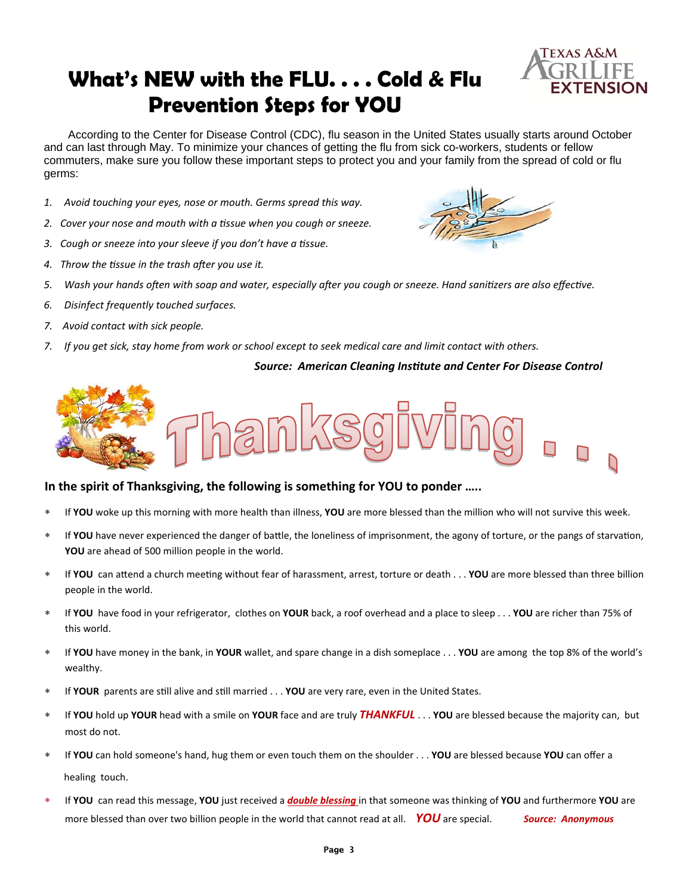### **What's NEW with the FLU. . . . Cold & Flu Prevention Steps for YOU**



 According to the Center for Disease Control (CDC), flu season in the United States usually starts around October and can last through May. To minimize your chances of getting the flu from sick co-workers, students or fellow commuters, make sure you follow these important steps to protect you and your family from the spread of cold or flu germs:

- *1. Avoid touching your eyes, nose or mouth. Germs spread this way.*
- *2. Cover your nose and mouth with a Ɵssue when you cough or sneeze.*
- *3. Cough or sneeze into your sleeve if you don't have a Ɵssue.*
- *4. Throw the Ɵssue in the trash aŌer you use it.*
- 5. Wash your hands often with soap and water, especially after you cough or sneeze. Hand sanitizers are also effective.
- *6. Disinfect frequently touched surfaces.*
- *7. Avoid contact with sick people.*
- 7. If you get sick, stay home from work or school except to seek medical care and limit contact with others.

### *Source: American Cleaning InsƟtute and Center For Disease Control*



### **In the spirit of Thanksgiving, the following is something for YOU to ponder …..**

- If **YOU** woke up this morning with more health than illness, **YOU** are more blessed than the million who will not survive this week.
- If **YOU** have never experienced the danger of battle, the loneliness of imprisonment, the agony of torture, or the pangs of starvation, **YOU** are ahead of 500 million people in the world.
- \* If **YOU** can attend a church meeting without fear of harassment, arrest, torture or death . . . **YOU** are more blessed than three billion people in the world.
- If **YOU** have food in your refrigerator, clothes on **YOUR** back, a roof overhead and a place to sleep . . . **YOU** are richer than 75% of this world.
- If **YOU** have money in the bank, in **YOUR** wallet, and spare change in a dish someplace . . . **YOU** are among the top 8% of the world's wealthy.
- If **YOUR** parents are still alive and still married . . . **YOU** are very rare, even in the United States.
- If **YOU** hold up **YOUR** head with a smile on **YOUR** face and are truly *THANKFUL* . . . **YOU** are blessed because the majority can, but most do not.
- If **YOU** can hold someone's hand, hug them or even touch them on the shoulder . . . **YOU** are blessed because **YOU** can offer a healing touch.
- If **YOU** can read this message, **YOU** just received a *double blessing* in that someone was thinking of **YOU** and furthermore **YOU** are more blessed than over two billion people in the world that cannot read at all. *YOU* are special. *Source: Anonymous*